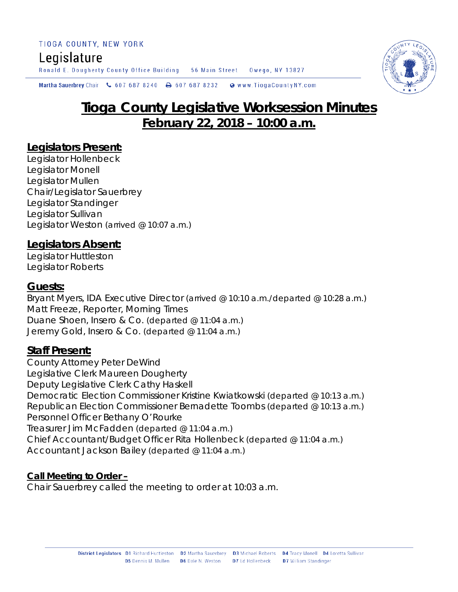Ronald E. Dougherty County Office Building 56 Main Street Owego, NY 13827

Martha Sauerbrey Chair & 607 687 8240  $\rightarrow$  607 687 8232 Www.TiogaCountyNY.com

# **Tioga County Legislative Worksession Minutes February 22, 2018 – 10:00 a.m.**

## **Legislators Present:**

Legislator Hollenbeck Legislator Monell Legislator Mullen Chair/Legislator Sauerbrey Legislator Standinger Legislator Sullivan Legislator Weston *(arrived @ 10:07 a.m.)*

## **Legislators Absent:**

Legislator Huttleston Legislator Roberts

## **Guests:**

Bryant Myers, IDA Executive Director *(arrived @ 10:10 a.m./departed @ 10:28 a.m.)* Matt Freeze, Reporter, Morning Times Duane Shoen, Insero & Co. *(departed @ 11:04 a.m.)* Jeremy Gold, Insero & Co. *(departed @ 11:04 a.m.)*

## **Staff Present:**

County Attorney Peter DeWind Legislative Clerk Maureen Dougherty Deputy Legislative Clerk Cathy Haskell Democratic Election Commissioner Kristine Kwiatkowski *(departed @ 10:13 a.m.)* Republican Election Commissioner Bernadette Toombs *(departed @ 10:13 a.m.)* Personnel Officer Bethany O'Rourke Treasurer Jim McFadden *(departed @ 11:04 a.m.)* Chief Accountant/Budget Officer Rita Hollenbeck *(departed @ 11:04 a.m.)* Accountant Jackson Bailey *(departed @ 11:04 a.m.)*

## **Call Meeting to Order –**

Chair Sauerbrey called the meeting to order at 10:03 a.m.

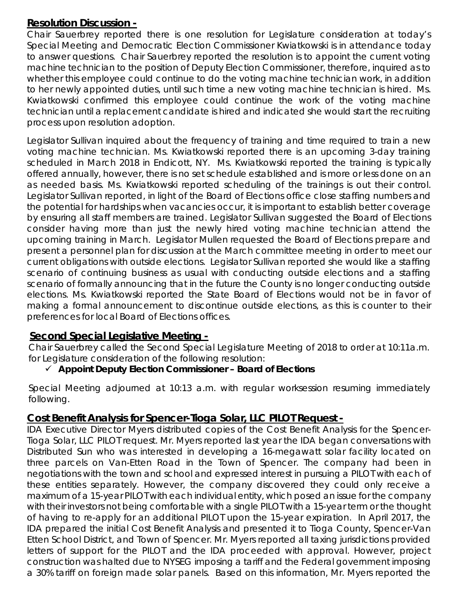## **Resolution Discussion -**

Chair Sauerbrey reported there is one resolution for Legislature consideration at today's Special Meeting and Democratic Election Commissioner Kwiatkowski is in attendance today to answer questions. Chair Sauerbrey reported the resolution is to appoint the current voting machine technician to the position of Deputy Election Commissioner, therefore, inquired as to whether this employee could continue to do the voting machine technician work, in addition to her newly appointed duties, until such time a new voting machine technician is hired. Ms. Kwiatkowski confirmed this employee could continue the work of the voting machine technician until a replacement candidate is hired and indicated she would start the recruiting process upon resolution adoption.

Legislator Sullivan inquired about the frequency of training and time required to train a new voting machine technician. Ms. Kwiatkowski reported there is an upcoming 3-day training scheduled in March 2018 in Endicott, NY. Ms. Kwiatkowski reported the training is typically offered annually, however, there is no set schedule established and is more or less done on an as needed basis. Ms. Kwiatkowski reported scheduling of the trainings is out their control. Legislator Sullivan reported, in light of the Board of Elections office close staffing numbers and the potential for hardships when vacancies occur, it is important to establish better coverage by ensuring all staff members are trained. Legislator Sullivan suggested the Board of Elections consider having more than just the newly hired voting machine technician attend the upcoming training in March. Legislator Mullen requested the Board of Elections prepare and present a personnel plan for discussion at the March committee meeting in order to meet our current obligations with outside elections. Legislator Sullivan reported she would like a staffing scenario of continuing business as usual with conducting outside elections and a staffing scenario of formally announcing that in the future the County is no longer conducting outside elections. Ms. Kwiatkowski reported the State Board of Elections would not be in favor of making a formal announcement to discontinue outside elections, as this is counter to their preferences for local Board of Elections offices.

## **Second Special Legislative Meeting -**

Chair Sauerbrey called the Second Special Legislature Meeting of 2018 to order at 10:11a.m. for Legislature consideration of the following resolution:

## *Appoint Deputy Election Commissioner – Board of Elections*

Special Meeting adjourned at 10:13 a.m. with regular worksession resuming immediately following.

## **Cost Benefit Analysis for Spencer-Tioga Solar, LLC PILOT Request -**

IDA Executive Director Myers distributed copies of the Cost Benefit Analysis for the Spencer-Tioga Solar, LLC PILOT request. Mr. Myers reported last year the IDA began conversations with Distributed Sun who was interested in developing a 16-megawatt solar facility located on three parcels on Van-Etten Road in the Town of Spencer. The company had been in negotiations with the town and school and expressed interest in pursuing a PILOT with each of these entities separately. However, the company discovered they could only receive a maximum of a 15-year PILOT with each individual entity, which posed an issue for the company with their investors not being comfortable with a single PILOT with a 15-year term or the thought of having to re-apply for an additional PILOT upon the 15-year expiration. In April 2017, the IDA prepared the initial Cost Benefit Analysis and presented it to Tioga County, Spencer-Van Etten School District, and Town of Spencer. Mr. Myers reported all taxing jurisdictions provided letters of support for the PILOT and the IDA proceeded with approval. However, project construction was halted due to NYSEG imposing a tariff and the Federal government imposing a 30% tariff on foreign made solar panels. Based on this information, Mr. Myers reported the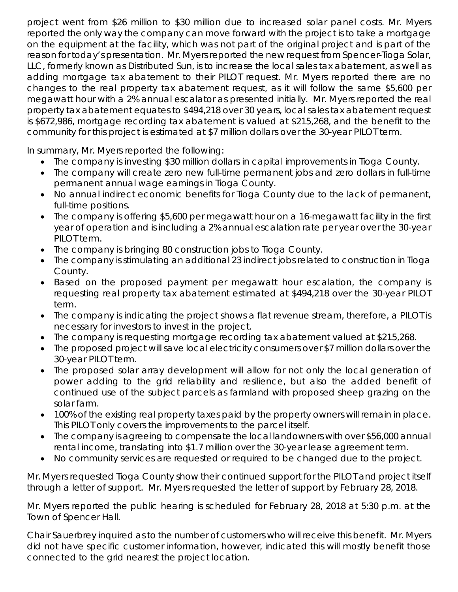project went from \$26 million to \$30 million due to increased solar panel costs. Mr. Myers reported the only way the company can move forward with the project is to take a mortgage on the equipment at the facility, which was not part of the original project and is part of the reason for today's presentation. Mr. Myers reported the new request from Spencer-Tioga Solar, LLC, formerly known as Distributed Sun, is to increase the local sales tax abatement, as well as adding mortgage tax abatement to their PILOT request. Mr. Myers reported there are no changes to the real property tax abatement request, as it will follow the same \$5,600 per megawatt hour with a 2% annual escalator as presented initially. Mr. Myers reported the real property tax abatement equates to \$494,218 over 30 years, local sales tax abatement request is \$672,986, mortgage recording tax abatement is valued at \$215,268, and the benefit to the community for this project is estimated at \$7 million dollars over the 30-year PILOT term.

In summary, Mr. Myers reported the following:

- The company is investing \$30 million dollars in capital improvements in Tioga County.
- The company will create zero new full-time permanent jobs and zero dollars in full-time permanent annual wage earnings in Tioga County.
- No annual indirect economic benefits for Tioga County due to the lack of permanent, full-time positions.
- The company is offering \$5,600 per megawatt hour on a 16-megawatt facility in the first year of operation and is including a 2% annual escalation rate per year over the 30-year PILOT term.
- The company is bringing 80 construction jobs to Tioga County.
- The company is stimulating an additional 23 indirect jobs related to construction in Tioga County.
- Based on the proposed payment per megawatt hour escalation, the company is requesting real property tax abatement estimated at \$494,218 over the 30-year PILOT term.
- The company is indicating the project shows a flat revenue stream, therefore, a PILOT is necessary for investors to invest in the project.
- The company is requesting mortgage recording tax abatement valued at \$215,268.
- The proposed project will save local electricity consumers over \$7 million dollars over the 30-year PILOT term.
- The proposed solar array development will allow for not only the local generation of power adding to the grid reliability and resilience, but also the added benefit of continued use of the subject parcels as farmland with proposed sheep grazing on the solar farm.
- 100% of the existing real property taxes paid by the property owners will remain in place. This PILOT only covers the improvements to the parcel itself.
- The company is agreeing to compensate the local landowners with over \$56,000 annual rental income, translating into \$1.7 million over the 30-year lease agreement term.
- No community services are requested or required to be changed due to the project.

Mr. Myers requested Tioga County show their continued support for the PILOT and project itself through a letter of support. Mr. Myers requested the letter of support by February 28, 2018.

Mr. Myers reported the public hearing is scheduled for February 28, 2018 at 5:30 p.m. at the Town of Spencer Hall.

Chair Sauerbrey inquired as to the number of customers who will receive this benefit. Mr. Myers did not have specific customer information, however, indicated this will mostly benefit those connected to the grid nearest the project location.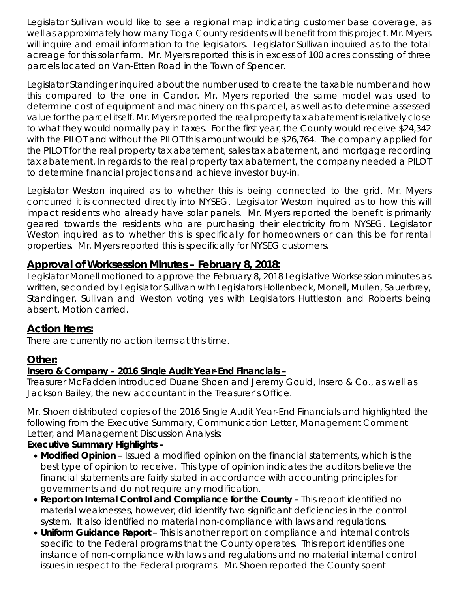Legislator Sullivan would like to see a regional map indicating customer base coverage, as well as approximately how many Tioga County residents will benefit from this project. Mr. Myers will inquire and email information to the legislators. Legislator Sullivan inquired as to the total acreage for this solar farm. Mr. Myers reported this is in excess of 100 acres consisting of three parcels located on Van-Etten Road in the Town of Spencer.

Legislator Standinger inquired about the number used to create the taxable number and how this compared to the one in Candor. Mr. Myers reported the same model was used to determine cost of equipment and machinery on this parcel, as well as to determine assessed value for the parcel itself. Mr. Myers reported the real property tax abatement is relatively close to what they would normally pay in taxes. For the first year, the County would receive \$24,342 with the PILOT and without the PILOT this amount would be \$26,764. The company applied for the PILOT for the real property tax abatement, sales tax abatement, and mortgage recording tax abatement. In regards to the real property tax abatement, the company needed a PILOT to determine financial projections and achieve investor buy-in.

Legislator Weston inquired as to whether this is being connected to the grid. Mr. Myers concurred it is connected directly into NYSEG. Legislator Weston inquired as to how this will impact residents who already have solar panels. Mr. Myers reported the benefit is primarily geared towards the residents who are purchasing their electricity from NYSEG. Legislator Weston inquired as to whether this is specifically for homeowners or can this be for rental properties. Mr. Myers reported this is specifically for NYSEG customers.

## **Approval of Worksession Minutes – February 8, 2018:**

Legislator Monell motioned to approve the February 8, 2018 Legislative Worksession minutes as written, seconded by Legislator Sullivan with Legislators Hollenbeck, Monell, Mullen, Sauerbrey, Standinger, Sullivan and Weston voting yes with Legislators Huttleston and Roberts being absent. Motion carried.

## **Action Items:**

There are currently no action items at this time.

## **Other:**

## *Insero & Company – 2016 Single Audit Year-End Financials –*

Treasurer McFadden introduced Duane Shoen and Jeremy Gould, Insero & Co., as well as Jackson Bailey, the new accountant in the Treasurer's Office.

Mr. Shoen distributed copies of the 2016 Single Audit Year-End Financials and highlighted the following from the Executive Summary, Communication Letter, Management Comment Letter, and Management Discussion Analysis:

## *Executive Summary Highlights –*

- *Modified Opinion* Issued a modified opinion on the financial statements, which is the best type of opinion to receive. This type of opinion indicates the auditors believe the financial statements are fairly stated in accordance with accounting principles for governments and do not require any modification.
- *Report on Internal Control and Compliance for the County –* This report identified no material weaknesses, however, did identify two significant deficiencies in the control system. It also identified no material non-compliance with laws and regulations.
- *Uniform Guidance Report*  This is another report on compliance and internal controls specific to the Federal programs that the County operates. This report identifies one instance of non-compliance with laws and regulations and no material internal control issues in respect to the Federal programs. Mr*.* Shoen reported the County spent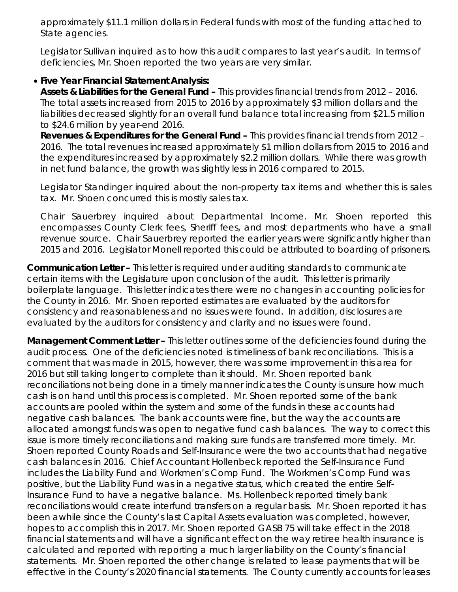approximately \$11.1 million dollars in Federal funds with most of the funding attached to State agencies.

Legislator Sullivan inquired as to how this audit compares to last year's audit. In terms of deficiencies, Mr. Shoen reported the two years are very similar.

#### • *Five Year Financial Statement Analysis:*

*Assets & Liabilities for the General Fund –* This provides financial trends from 2012 – 2016. The total assets increased from 2015 to 2016 by approximately \$3 million dollars and the liabilities decreased slightly for an overall fund balance total increasing from \$21.5 million to \$24.6 million by year-end 2016.

*Revenues & Expenditures for the General Fund –* This provides financial trends from 2012 – 2016. The total revenues increased approximately \$1 million dollars from 2015 to 2016 and the expenditures increased by approximately \$2.2 million dollars. While there was growth in net fund balance, the growth was slightly less in 2016 compared to 2015.

Legislator Standinger inquired about the non-property tax items and whether this is sales tax. Mr. Shoen concurred this is mostly sales tax.

Chair Sauerbrey inquired about Departmental Income. Mr. Shoen reported this encompasses County Clerk fees, Sheriff fees, and most departments who have a small revenue source. Chair Sauerbrey reported the earlier years were significantly higher than 2015 and 2016. Legislator Monell reported this could be attributed to boarding of prisoners.

*Communication Letter –* This letter is required under auditing standards to communicate certain items with the Legislature upon conclusion of the audit. This letter is primarily boilerplate language. This letter indicates there were no changes in accounting policies for the County in 2016. Mr. Shoen reported estimates are evaluated by the auditors for consistency and reasonableness and no issues were found. In addition, disclosures are evaluated by the auditors for consistency and clarity and no issues were found.

*Management Comment Letter –* This letter outlines some of the deficiencies found during the audit process. One of the deficiencies noted is timeliness of bank reconciliations. This is a comment that was made in 2015, however, there was some improvement in this area for 2016 but still taking longer to complete than it should. Mr. Shoen reported bank reconciliations not being done in a timely manner indicates the County is unsure how much cash is on hand until this process is completed. Mr. Shoen reported some of the bank accounts are pooled within the system and some of the funds in these accounts had negative cash balances. The bank accounts were fine, but the way the accounts are allocated amongst funds was open to negative fund cash balances. The way to correct this issue is more timely reconciliations and making sure funds are transferred more timely. Mr. Shoen reported County Roads and Self-Insurance were the two accounts that had negative cash balances in 2016. Chief Accountant Hollenbeck reported the Self-Insurance Fund includes the Liability Fund and Workmen's Comp Fund. The Workmen's Comp Fund was positive, but the Liability Fund was in a negative status, which created the entire Self-Insurance Fund to have a negative balance. Ms. Hollenbeck reported timely bank reconciliations would create interfund transfers on a regular basis. Mr. Shoen reported it has been awhile since the County's last Capital Assets evaluation was completed, however, hopes to accomplish this in 2017. Mr. Shoen reported GASB 75 will take effect in the 2018 financial statements and will have a significant effect on the way retiree health insurance is calculated and reported with reporting a much larger liability on the County's financial statements. Mr. Shoen reported the other change is related to lease payments that will be effective in the County's 2020 financial statements. The County currently accounts for leases